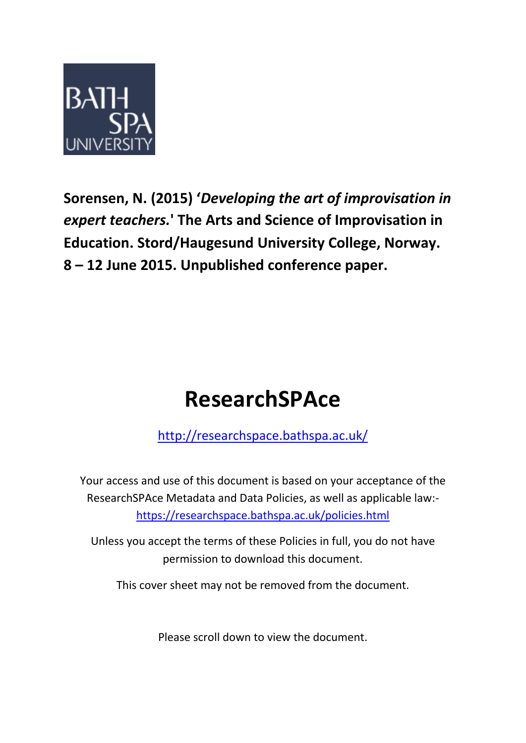

**Sorensen, N. (2015) '***Developing the art of improvisation in expert teachers.***' The Arts and Science of Improvisation in Education. Stord/Haugesund University College, Norway. 8 – 12 June 2015. Unpublished conference paper.**

# **ResearchSPAce**

<http://researchspace.bathspa.ac.uk/>

Your access and use of this document is based on your acceptance of the ResearchSPAce Metadata and Data Policies, as well as applicable law: https://researchspace.bathspa.ac.uk/policies.html

Unless you accept the terms of these Policies in full, you do not have permission to download this document.

This cover sheet may not be removed from the document.

Please scroll down to view the document.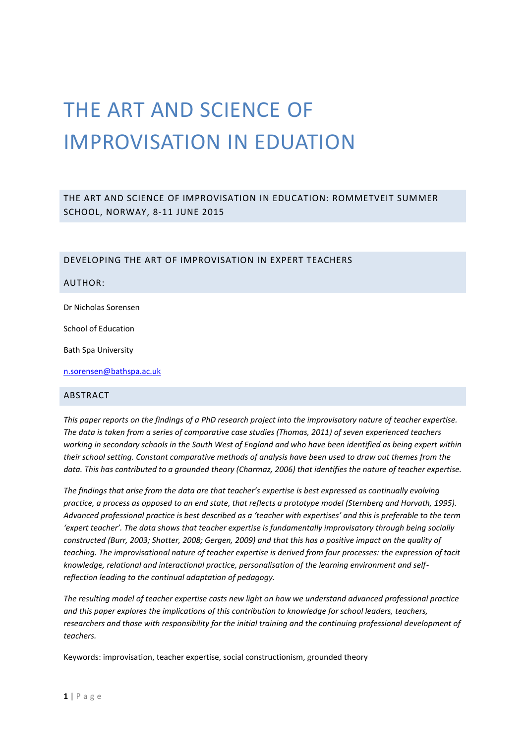# THE ART AND SCIENCE OF IMPROVISATION IN EDUATION

# THE ART AND SCIENCE OF IMPROVISATION IN EDUCATION: ROMMETVEIT SUMMER SCHOOL, NORWAY, 8-11 JUNE 2015

#### DEVELOPING THE ART OF IMPROVISATION IN EXPERT TEACHERS

#### AUTHOR:

Dr Nicholas Sorensen

School of Education

Bath Spa University

[n.sorensen@bathspa.ac.uk](mailto:n.sorensen@bathspa.ac.uk)

#### ABSTRACT

*This paper reports on the findings of a PhD research project into the improvisatory nature of teacher expertise. The data is taken from a series of comparative case studies (Thomas, 2011) of seven experienced teachers working in secondary schools in the South West of England and who have been identified as being expert within their school setting. Constant comparative methods of analysis have been used to draw out themes from the data. This has contributed to a grounded theory (Charmaz, 2006) that identifies the nature of teacher expertise.*

*The findings that arise from the data are that teacher's expertise is best expressed as continually evolving practice, a process as opposed to an end state, that reflects a prototype model (Sternberg and Horvath, 1995). Advanced professional practice is best described as a 'teacher with expertises' and this is preferable to the term 'expert teacher'. The data shows that teacher expertise is fundamentally improvisatory through being socially constructed (Burr, 2003; Shotter, 2008; Gergen, 2009) and that this has a positive impact on the quality of teaching. The improvisational nature of teacher expertise is derived from four processes: the expression of tacit knowledge, relational and interactional practice, personalisation of the learning environment and selfreflection leading to the continual adaptation of pedagogy.*

*The resulting model of teacher expertise casts new light on how we understand advanced professional practice and this paper explores the implications of this contribution to knowledge for school leaders, teachers, researchers and those with responsibility for the initial training and the continuing professional development of teachers.*

Keywords: improvisation, teacher expertise, social constructionism, grounded theory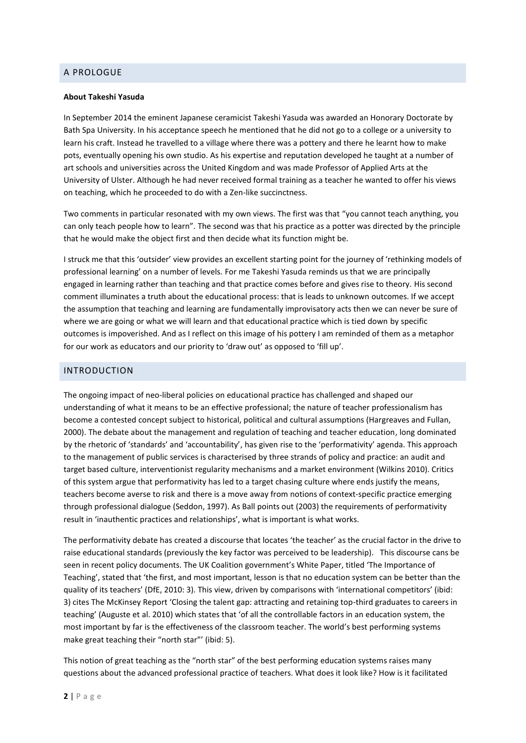## A PROLOGUE

#### **About Takeshi Yasuda**

In September 2014 the eminent Japanese ceramicist Takeshi Yasuda was awarded an Honorary Doctorate by Bath Spa University. In his acceptance speech he mentioned that he did not go to a college or a university to learn his craft. Instead he travelled to a village where there was a pottery and there he learnt how to make pots, eventually opening his own studio. As his expertise and reputation developed he taught at a number of art schools and universities across the United Kingdom and was made Professor of Applied Arts at the University of Ulster. Although he had never received formal training as a teacher he wanted to offer his views on teaching, which he proceeded to do with a Zen-like succinctness.

Two comments in particular resonated with my own views. The first was that "you cannot teach anything, you can only teach people how to learn". The second was that his practice as a potter was directed by the principle that he would make the object first and then decide what its function might be.

I struck me that this 'outsider' view provides an excellent starting point for the journey of 'rethinking models of professional learning' on a number of levels. For me Takeshi Yasuda reminds us that we are principally engaged in learning rather than teaching and that practice comes before and gives rise to theory. His second comment illuminates a truth about the educational process: that is leads to unknown outcomes. If we accept the assumption that teaching and learning are fundamentally improvisatory acts then we can never be sure of where we are going or what we will learn and that educational practice which is tied down by specific outcomes is impoverished. And as I reflect on this image of his pottery I am reminded of them as a metaphor for our work as educators and our priority to 'draw out' as opposed to 'fill up'.

### INTRODUCTION

The ongoing impact of neo-liberal policies on educational practice has challenged and shaped our understanding of what it means to be an effective professional; the nature of teacher professionalism has become a contested concept subject to historical, political and cultural assumptions (Hargreaves and Fullan, 2000). The debate about the management and regulation of teaching and teacher education, long dominated by the rhetoric of 'standards' and 'accountability', has given rise to the 'performativity' agenda. This approach to the management of public services is characterised by three strands of policy and practice: an audit and target based culture, interventionist regularity mechanisms and a market environment (Wilkins 2010). Critics of this system argue that performativity has led to a target chasing culture where ends justify the means, teachers become averse to risk and there is a move away from notions of context-specific practice emerging through professional dialogue (Seddon, 1997). As Ball points out (2003) the requirements of performativity result in 'inauthentic practices and relationships', what is important is what works.

The performativity debate has created a discourse that locates 'the teacher' as the crucial factor in the drive to raise educational standards (previously the key factor was perceived to be leadership). This discourse cans be seen in recent policy documents. The UK Coalition government's White Paper, titled 'The Importance of Teaching', stated that 'the first, and most important, lesson is that no education system can be better than the quality of its teachers' (DfE, 2010: 3). This view, driven by comparisons with 'international competitors' (ibid: 3) cites The McKinsey Report 'Closing the talent gap: attracting and retaining top-third graduates to careers in teaching' (Auguste et al. 2010) which states that 'of all the controllable factors in an education system, the most important by far is the effectiveness of the classroom teacher. The world's best performing systems make great teaching their "north star"' (ibid: 5).

This notion of great teaching as the "north star" of the best performing education systems raises many questions about the advanced professional practice of teachers. What does it look like? How is it facilitated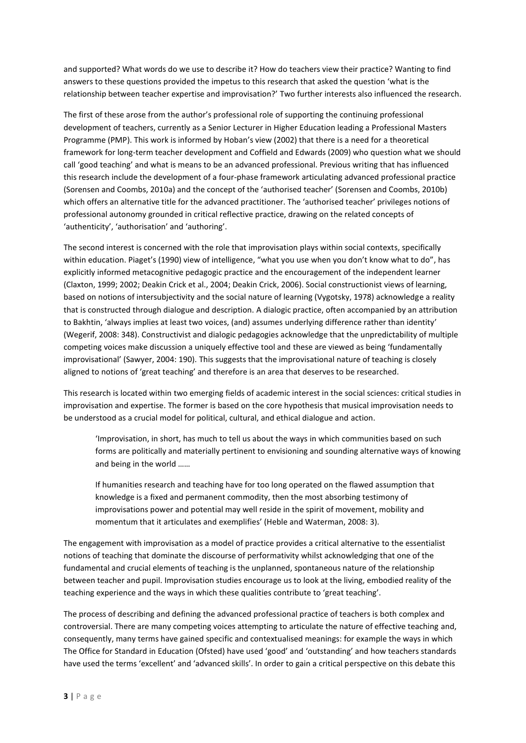and supported? What words do we use to describe it? How do teachers view their practice? Wanting to find answers to these questions provided the impetus to this research that asked the question 'what is the relationship between teacher expertise and improvisation?' Two further interests also influenced the research.

The first of these arose from the author's professional role of supporting the continuing professional development of teachers, currently as a Senior Lecturer in Higher Education leading a Professional Masters Programme (PMP). This work is informed by Hoban's view (2002) that there is a need for a theoretical framework for long-term teacher development and Coffield and Edwards (2009) who question what we should call 'good teaching' and what is means to be an advanced professional. Previous writing that has influenced this research include the development of a four-phase framework articulating advanced professional practice (Sorensen and Coombs, 2010a) and the concept of the 'authorised teacher' (Sorensen and Coombs, 2010b) which offers an alternative title for the advanced practitioner. The 'authorised teacher' privileges notions of professional autonomy grounded in critical reflective practice, drawing on the related concepts of 'authenticity', 'authorisation' and 'authoring'.

The second interest is concerned with the role that improvisation plays within social contexts, specifically within education. Piaget's (1990) view of intelligence, "what you use when you don't know what to do", has explicitly informed metacognitive pedagogic practice and the encouragement of the independent learner (Claxton, 1999; 2002; Deakin Crick et al., 2004; Deakin Crick, 2006). Social constructionist views of learning, based on notions of intersubjectivity and the social nature of learning (Vygotsky, 1978) acknowledge a reality that is constructed through dialogue and description. A dialogic practice, often accompanied by an attribution to Bakhtin, 'always implies at least two voices, (and) assumes underlying difference rather than identity' (Wegerif, 2008: 348). Constructivist and dialogic pedagogies acknowledge that the unpredictability of multiple competing voices make discussion a uniquely effective tool and these are viewed as being 'fundamentally improvisational' (Sawyer, 2004: 190). This suggests that the improvisational nature of teaching is closely aligned to notions of 'great teaching' and therefore is an area that deserves to be researched.

This research is located within two emerging fields of academic interest in the social sciences: critical studies in improvisation and expertise. The former is based on the core hypothesis that musical improvisation needs to be understood as a crucial model for political, cultural, and ethical dialogue and action.

'Improvisation, in short, has much to tell us about the ways in which communities based on such forms are politically and materially pertinent to envisioning and sounding alternative ways of knowing and being in the world ……

If humanities research and teaching have for too long operated on the flawed assumption that knowledge is a fixed and permanent commodity, then the most absorbing testimony of improvisations power and potential may well reside in the spirit of movement, mobility and momentum that it articulates and exemplifies' (Heble and Waterman, 2008: 3).

The engagement with improvisation as a model of practice provides a critical alternative to the essentialist notions of teaching that dominate the discourse of performativity whilst acknowledging that one of the fundamental and crucial elements of teaching is the unplanned, spontaneous nature of the relationship between teacher and pupil. Improvisation studies encourage us to look at the living, embodied reality of the teaching experience and the ways in which these qualities contribute to 'great teaching'.

The process of describing and defining the advanced professional practice of teachers is both complex and controversial. There are many competing voices attempting to articulate the nature of effective teaching and, consequently, many terms have gained specific and contextualised meanings: for example the ways in which The Office for Standard in Education (Ofsted) have used 'good' and 'outstanding' and how teachers standards have used the terms 'excellent' and 'advanced skills'. In order to gain a critical perspective on this debate this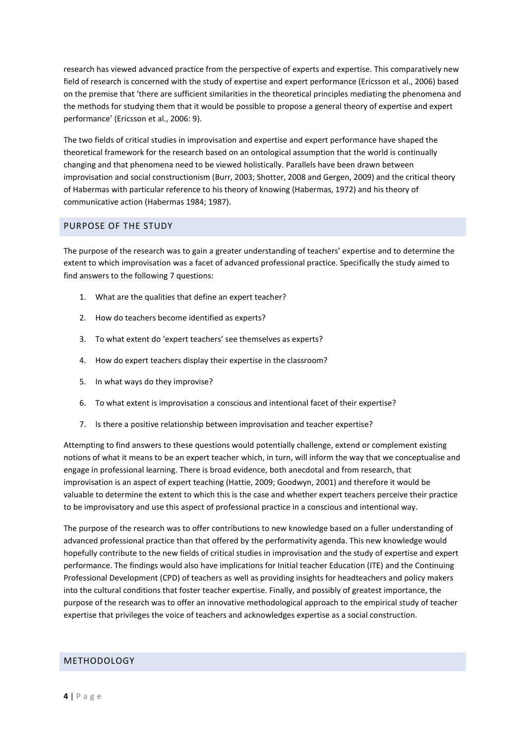research has viewed advanced practice from the perspective of experts and expertise. This comparatively new field of research is concerned with the study of expertise and expert performance (Ericsson et al., 2006) based on the premise that 'there are sufficient similarities in the theoretical principles mediating the phenomena and the methods for studying them that it would be possible to propose a general theory of expertise and expert performance' (Ericsson et al., 2006: 9).

The two fields of critical studies in improvisation and expertise and expert performance have shaped the theoretical framework for the research based on an ontological assumption that the world is continually changing and that phenomena need to be viewed holistically. Parallels have been drawn between improvisation and social constructionism (Burr, 2003; Shotter, 2008 and Gergen, 2009) and the critical theory of Habermas with particular reference to his theory of knowing (Habermas, 1972) and his theory of communicative action (Habermas 1984; 1987).

## PURPOSE OF THE STUDY

The purpose of the research was to gain a greater understanding of teachers' expertise and to determine the extent to which improvisation was a facet of advanced professional practice. Specifically the study aimed to find answers to the following 7 questions:

- 1. What are the qualities that define an expert teacher?
- 2. How do teachers become identified as experts?
- 3. To what extent do 'expert teachers' see themselves as experts?
- 4. How do expert teachers display their expertise in the classroom?
- 5. In what ways do they improvise?
- 6. To what extent is improvisation a conscious and intentional facet of their expertise?
- 7. Is there a positive relationship between improvisation and teacher expertise?

Attempting to find answers to these questions would potentially challenge, extend or complement existing notions of what it means to be an expert teacher which, in turn, will inform the way that we conceptualise and engage in professional learning. There is broad evidence, both anecdotal and from research, that improvisation is an aspect of expert teaching (Hattie, 2009; Goodwyn, 2001) and therefore it would be valuable to determine the extent to which this is the case and whether expert teachers perceive their practice to be improvisatory and use this aspect of professional practice in a conscious and intentional way.

The purpose of the research was to offer contributions to new knowledge based on a fuller understanding of advanced professional practice than that offered by the performativity agenda. This new knowledge would hopefully contribute to the new fields of critical studies in improvisation and the study of expertise and expert performance. The findings would also have implications for Initial teacher Education (ITE) and the Continuing Professional Development (CPD) of teachers as well as providing insights for headteachers and policy makers into the cultural conditions that foster teacher expertise. Finally, and possibly of greatest importance, the purpose of the research was to offer an innovative methodological approach to the empirical study of teacher expertise that privileges the voice of teachers and acknowledges expertise as a social construction.

## METHODOLOGY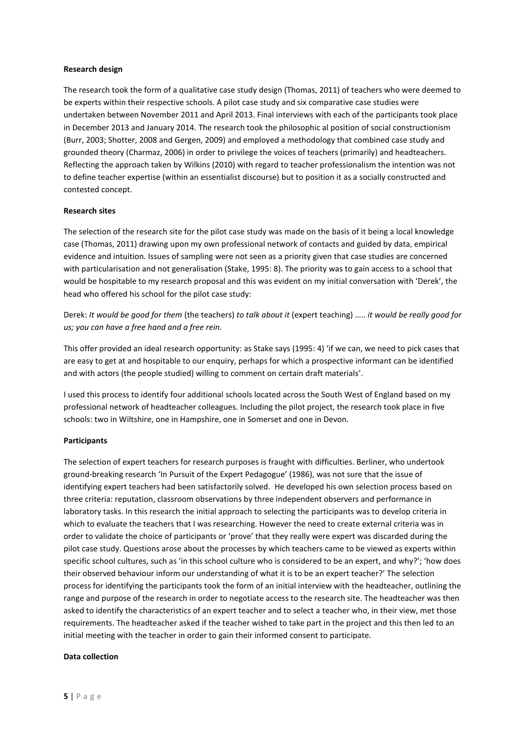#### **Research design**

The research took the form of a qualitative case study design (Thomas, 2011) of teachers who were deemed to be experts within their respective schools. A pilot case study and six comparative case studies were undertaken between November 2011 and April 2013. Final interviews with each of the participants took place in December 2013 and January 2014. The research took the philosophic al position of social constructionism (Burr, 2003; Shotter, 2008 and Gergen, 2009) and employed a methodology that combined case study and grounded theory (Charmaz, 2006) in order to privilege the voices of teachers (primarily) and headteachers. Reflecting the approach taken by Wilkins (2010) with regard to teacher professionalism the intention was not to define teacher expertise (within an essentialist discourse) but to position it as a socially constructed and contested concept.

#### **Research sites**

The selection of the research site for the pilot case study was made on the basis of it being a local knowledge case (Thomas, 2011) drawing upon my own professional network of contacts and guided by data, empirical evidence and intuition. Issues of sampling were not seen as a priority given that case studies are concerned with particularisation and not generalisation (Stake, 1995: 8). The priority was to gain access to a school that would be hospitable to my research proposal and this was evident on my initial conversation with 'Derek', the head who offered his school for the pilot case study:

Derek: *It would be good for them* (the teachers) *to talk about it* (expert teaching) ….. *it would be really good for us; you can have a free hand and a free rein.*

This offer provided an ideal research opportunity: as Stake says (1995: 4) 'if we can, we need to pick cases that are easy to get at and hospitable to our enquiry, perhaps for which a prospective informant can be identified and with actors (the people studied) willing to comment on certain draft materials'.

I used this process to identify four additional schools located across the South West of England based on my professional network of headteacher colleagues. Including the pilot project, the research took place in five schools: two in Wiltshire, one in Hampshire, one in Somerset and one in Devon.

#### **Participants**

The selection of expert teachers for research purposes is fraught with difficulties. Berliner, who undertook ground-breaking research 'In Pursuit of the Expert Pedagogue' (1986), was not sure that the issue of identifying expert teachers had been satisfactorily solved. He developed his own selection process based on three criteria: reputation, classroom observations by three independent observers and performance in laboratory tasks. In this research the initial approach to selecting the participants was to develop criteria in which to evaluate the teachers that I was researching. However the need to create external criteria was in order to validate the choice of participants or 'prove' that they really were expert was discarded during the pilot case study. Questions arose about the processes by which teachers came to be viewed as experts within specific school cultures, such as 'in this school culture who is considered to be an expert, and why?'; 'how does their observed behaviour inform our understanding of what it is to be an expert teacher?' The selection process for identifying the participants took the form of an initial interview with the headteacher, outlining the range and purpose of the research in order to negotiate access to the research site. The headteacher was then asked to identify the characteristics of an expert teacher and to select a teacher who, in their view, met those requirements. The headteacher asked if the teacher wished to take part in the project and this then led to an initial meeting with the teacher in order to gain their informed consent to participate.

#### **Data collection**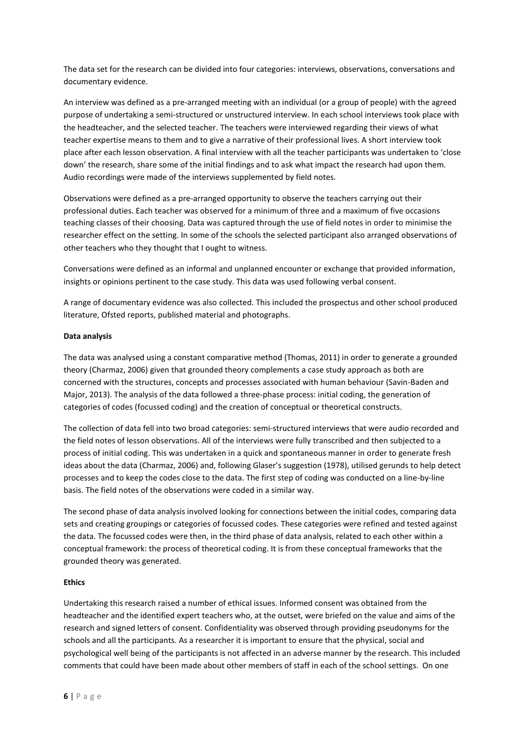The data set for the research can be divided into four categories: interviews, observations, conversations and documentary evidence.

An interview was defined as a pre-arranged meeting with an individual (or a group of people) with the agreed purpose of undertaking a semi-structured or unstructured interview. In each school interviews took place with the headteacher, and the selected teacher. The teachers were interviewed regarding their views of what teacher expertise means to them and to give a narrative of their professional lives. A short interview took place after each lesson observation. A final interview with all the teacher participants was undertaken to 'close down' the research, share some of the initial findings and to ask what impact the research had upon them. Audio recordings were made of the interviews supplemented by field notes.

Observations were defined as a pre-arranged opportunity to observe the teachers carrying out their professional duties. Each teacher was observed for a minimum of three and a maximum of five occasions teaching classes of their choosing. Data was captured through the use of field notes in order to minimise the researcher effect on the setting. In some of the schools the selected participant also arranged observations of other teachers who they thought that I ought to witness.

Conversations were defined as an informal and unplanned encounter or exchange that provided information, insights or opinions pertinent to the case study. This data was used following verbal consent.

A range of documentary evidence was also collected. This included the prospectus and other school produced literature, Ofsted reports, published material and photographs.

#### **Data analysis**

The data was analysed using a constant comparative method (Thomas, 2011) in order to generate a grounded theory (Charmaz, 2006) given that grounded theory complements a case study approach as both are concerned with the structures, concepts and processes associated with human behaviour (Savin-Baden and Major, 2013). The analysis of the data followed a three-phase process: initial coding, the generation of categories of codes (focussed coding) and the creation of conceptual or theoretical constructs.

The collection of data fell into two broad categories: semi-structured interviews that were audio recorded and the field notes of lesson observations. All of the interviews were fully transcribed and then subjected to a process of initial coding. This was undertaken in a quick and spontaneous manner in order to generate fresh ideas about the data (Charmaz, 2006) and, following Glaser's suggestion (1978), utilised gerunds to help detect processes and to keep the codes close to the data. The first step of coding was conducted on a line-by-line basis. The field notes of the observations were coded in a similar way.

The second phase of data analysis involved looking for connections between the initial codes, comparing data sets and creating groupings or categories of focussed codes. These categories were refined and tested against the data. The focussed codes were then, in the third phase of data analysis, related to each other within a conceptual framework: the process of theoretical coding. It is from these conceptual frameworks that the grounded theory was generated.

#### **Ethics**

Undertaking this research raised a number of ethical issues. Informed consent was obtained from the headteacher and the identified expert teachers who, at the outset, were briefed on the value and aims of the research and signed letters of consent. Confidentiality was observed through providing pseudonyms for the schools and all the participants. As a researcher it is important to ensure that the physical, social and psychological well being of the participants is not affected in an adverse manner by the research. This included comments that could have been made about other members of staff in each of the school settings. On one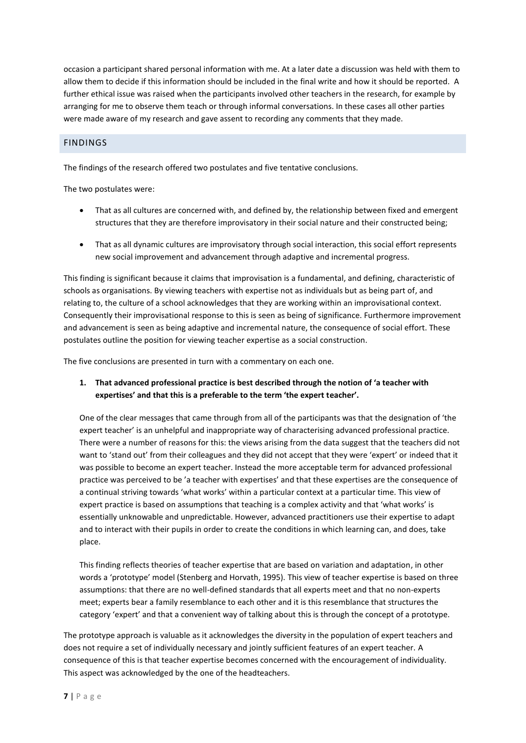occasion a participant shared personal information with me. At a later date a discussion was held with them to allow them to decide if this information should be included in the final write and how it should be reported. A further ethical issue was raised when the participants involved other teachers in the research, for example by arranging for me to observe them teach or through informal conversations. In these cases all other parties were made aware of my research and gave assent to recording any comments that they made.

### FINDINGS

The findings of the research offered two postulates and five tentative conclusions.

The two postulates were:

- That as all cultures are concerned with, and defined by, the relationship between fixed and emergent structures that they are therefore improvisatory in their social nature and their constructed being;
- That as all dynamic cultures are improvisatory through social interaction, this social effort represents new social improvement and advancement through adaptive and incremental progress.

This finding is significant because it claims that improvisation is a fundamental, and defining, characteristic of schools as organisations. By viewing teachers with expertise not as individuals but as being part of, and relating to, the culture of a school acknowledges that they are working within an improvisational context. Consequently their improvisational response to this is seen as being of significance. Furthermore improvement and advancement is seen as being adaptive and incremental nature, the consequence of social effort. These postulates outline the position for viewing teacher expertise as a social construction.

The five conclusions are presented in turn with a commentary on each one.

# **1. That advanced professional practice is best described through the notion of 'a teacher with expertises' and that this is a preferable to the term 'the expert teacher'.**

One of the clear messages that came through from all of the participants was that the designation of 'the expert teacher' is an unhelpful and inappropriate way of characterising advanced professional practice. There were a number of reasons for this: the views arising from the data suggest that the teachers did not want to 'stand out' from their colleagues and they did not accept that they were 'expert' or indeed that it was possible to become an expert teacher. Instead the more acceptable term for advanced professional practice was perceived to be 'a teacher with expertises' and that these expertises are the consequence of a continual striving towards 'what works' within a particular context at a particular time. This view of expert practice is based on assumptions that teaching is a complex activity and that 'what works' is essentially unknowable and unpredictable. However, advanced practitioners use their expertise to adapt and to interact with their pupils in order to create the conditions in which learning can, and does, take place.

This finding reflects theories of teacher expertise that are based on variation and adaptation, in other words a 'prototype' model (Stenberg and Horvath, 1995). This view of teacher expertise is based on three assumptions: that there are no well-defined standards that all experts meet and that no non-experts meet; experts bear a family resemblance to each other and it is this resemblance that structures the category 'expert' and that a convenient way of talking about this is through the concept of a prototype.

The prototype approach is valuable as it acknowledges the diversity in the population of expert teachers and does not require a set of individually necessary and jointly sufficient features of an expert teacher. A consequence of this is that teacher expertise becomes concerned with the encouragement of individuality. This aspect was acknowledged by the one of the headteachers.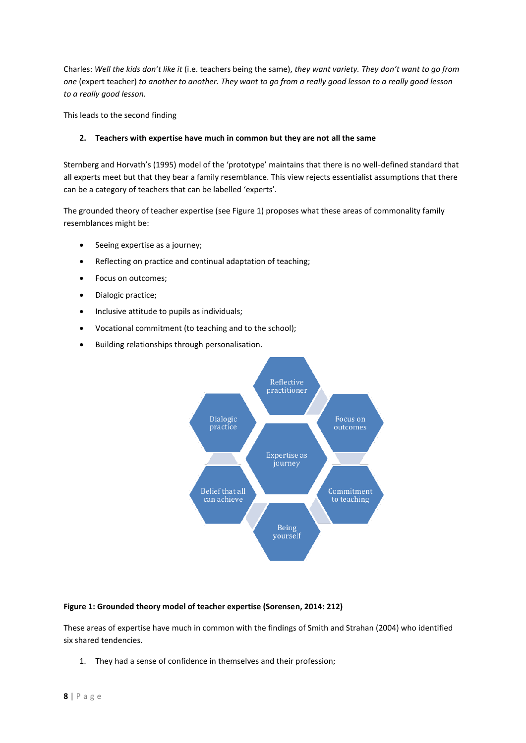Charles: *Well the kids don't like it* (i.e. teachers being the same), *they want variety. They don't want to go from one* (expert teacher) *to another to another. They want to go from a really good lesson to a really good lesson to a really good lesson.*

This leads to the second finding

## **2. Teachers with expertise have much in common but they are not all the same**

Sternberg and Horvath's (1995) model of the 'prototype' maintains that there is no well-defined standard that all experts meet but that they bear a family resemblance. This view rejects essentialist assumptions that there can be a category of teachers that can be labelled 'experts'.

The grounded theory of teacher expertise (see Figure 1) proposes what these areas of commonality family resemblances might be:

- Seeing expertise as a journey;
- Reflecting on practice and continual adaptation of teaching;
- Focus on outcomes;
- Dialogic practice;
- Inclusive attitude to pupils as individuals;
- Vocational commitment (to teaching and to the school);
- Building relationships through personalisation.



#### **Figure 1: Grounded theory model of teacher expertise (Sorensen, 2014: 212)**

These areas of expertise have much in common with the findings of Smith and Strahan (2004) who identified six shared tendencies.

1. They had a sense of confidence in themselves and their profession;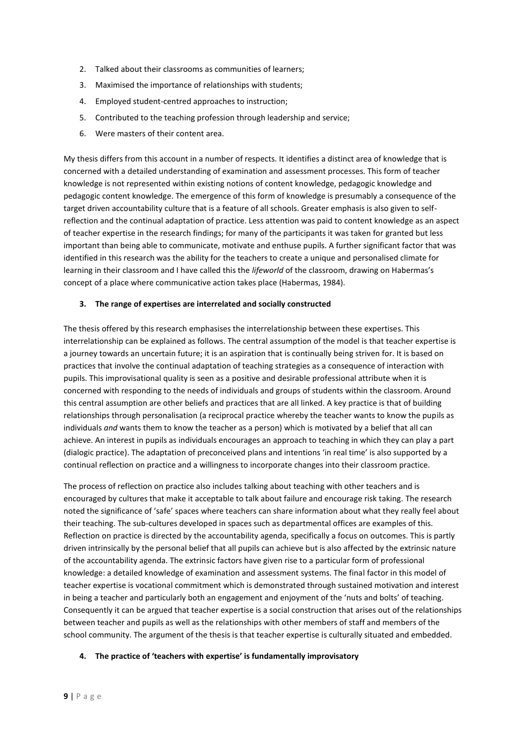- 2. Talked about their classrooms as communities of learners;
- 3. Maximised the importance of relationships with students;
- 4. Employed student-centred approaches to instruction;
- 5. Contributed to the teaching profession through leadership and service;
- 6. Were masters of their content area.

My thesis differs from this account in a number of respects. It identifies a distinct area of knowledge that is concerned with a detailed understanding of examination and assessment processes. This form of teacher knowledge is not represented within existing notions of content knowledge, pedagogic knowledge and pedagogic content knowledge. The emergence of this form of knowledge is presumably a consequence of the target driven accountability culture that is a feature of all schools. Greater emphasis is also given to selfreflection and the continual adaptation of practice. Less attention was paid to content knowledge as an aspect of teacher expertise in the research findings; for many of the participants it was taken for granted but less important than being able to communicate, motivate and enthuse pupils. A further significant factor that was identified in this research was the ability for the teachers to create a unique and personalised climate for learning in their classroom and I have called this the *lifeworld* of the classroom, drawing on Habermas's concept of a place where communicative action takes place (Habermas, 1984).

## **3. The range of expertises are interrelated and socially constructed**

The thesis offered by this research emphasises the interrelationship between these expertises. This interrelationship can be explained as follows. The central assumption of the model is that teacher expertise is a journey towards an uncertain future; it is an aspiration that is continually being striven for. It is based on practices that involve the continual adaptation of teaching strategies as a consequence of interaction with pupils. This improvisational quality is seen as a positive and desirable professional attribute when it is concerned with responding to the needs of individuals and groups of students within the classroom. Around this central assumption are other beliefs and practices that are all linked. A key practice is that of building relationships through personalisation (a reciprocal practice whereby the teacher wants to know the pupils as individuals *and* wants them to know the teacher as a person) which is motivated by a belief that all can achieve. An interest in pupils as individuals encourages an approach to teaching in which they can play a part (dialogic practice). The adaptation of preconceived plans and intentions 'in real time' is also supported by a continual reflection on practice and a willingness to incorporate changes into their classroom practice.

The process of reflection on practice also includes talking about teaching with other teachers and is encouraged by cultures that make it acceptable to talk about failure and encourage risk taking. The research noted the significance of 'safe' spaces where teachers can share information about what they really feel about their teaching. The sub-cultures developed in spaces such as departmental offices are examples of this. Reflection on practice is directed by the accountability agenda, specifically a focus on outcomes. This is partly driven intrinsically by the personal belief that all pupils can achieve but is also affected by the extrinsic nature of the accountability agenda. The extrinsic factors have given rise to a particular form of professional knowledge: a detailed knowledge of examination and assessment systems. The final factor in this model of teacher expertise is vocational commitment which is demonstrated through sustained motivation and interest in being a teacher and particularly both an engagement and enjoyment of the 'nuts and bolts' of teaching. Consequently it can be argued that teacher expertise is a social construction that arises out of the relationships between teacher and pupils as well as the relationships with other members of staff and members of the school community. The argument of the thesis is that teacher expertise is culturally situated and embedded.

#### **4. The practice of 'teachers with expertise' is fundamentally improvisatory**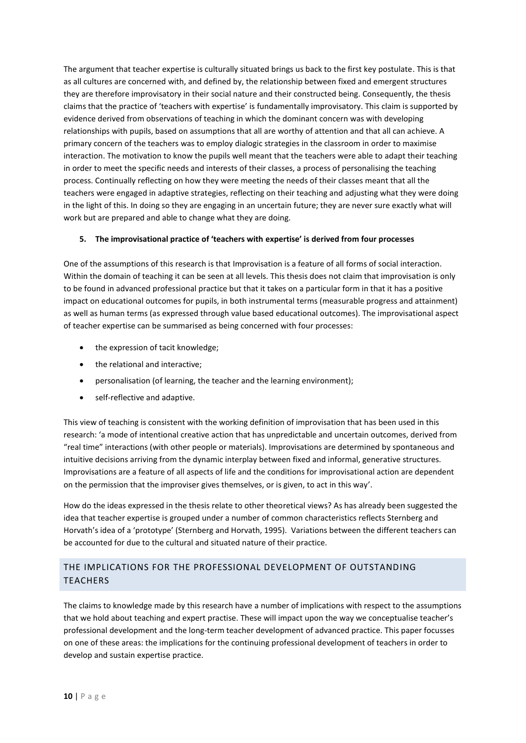The argument that teacher expertise is culturally situated brings us back to the first key postulate. This is that as all cultures are concerned with, and defined by, the relationship between fixed and emergent structures they are therefore improvisatory in their social nature and their constructed being. Consequently, the thesis claims that the practice of 'teachers with expertise' is fundamentally improvisatory. This claim is supported by evidence derived from observations of teaching in which the dominant concern was with developing relationships with pupils, based on assumptions that all are worthy of attention and that all can achieve. A primary concern of the teachers was to employ dialogic strategies in the classroom in order to maximise interaction. The motivation to know the pupils well meant that the teachers were able to adapt their teaching in order to meet the specific needs and interests of their classes, a process of personalising the teaching process. Continually reflecting on how they were meeting the needs of their classes meant that all the teachers were engaged in adaptive strategies, reflecting on their teaching and adjusting what they were doing in the light of this. In doing so they are engaging in an uncertain future; they are never sure exactly what will work but are prepared and able to change what they are doing.

## **5. The improvisational practice of 'teachers with expertise' is derived from four processes**

One of the assumptions of this research is that Improvisation is a feature of all forms of social interaction. Within the domain of teaching it can be seen at all levels. This thesis does not claim that improvisation is only to be found in advanced professional practice but that it takes on a particular form in that it has a positive impact on educational outcomes for pupils, in both instrumental terms (measurable progress and attainment) as well as human terms (as expressed through value based educational outcomes). The improvisational aspect of teacher expertise can be summarised as being concerned with four processes:

- the expression of tacit knowledge;
- the relational and interactive:
- personalisation (of learning, the teacher and the learning environment);
- self-reflective and adaptive.

This view of teaching is consistent with the working definition of improvisation that has been used in this research: 'a mode of intentional creative action that has unpredictable and uncertain outcomes, derived from "real time" interactions (with other people or materials). Improvisations are determined by spontaneous and intuitive decisions arriving from the dynamic interplay between fixed and informal, generative structures. Improvisations are a feature of all aspects of life and the conditions for improvisational action are dependent on the permission that the improviser gives themselves, or is given, to act in this way'.

How do the ideas expressed in the thesis relate to other theoretical views? As has already been suggested the idea that teacher expertise is grouped under a number of common characteristics reflects Sternberg and Horvath's idea of a 'prototype' (Sternberg and Horvath, 1995). Variations between the different teachers can be accounted for due to the cultural and situated nature of their practice.

# THE IMPLICATIONS FOR THE PROFESSIONAL DEVELOPMENT OF OUTSTANDING **TEACHERS**

The claims to knowledge made by this research have a number of implications with respect to the assumptions that we hold about teaching and expert practise. These will impact upon the way we conceptualise teacher's professional development and the long-term teacher development of advanced practice. This paper focusses on one of these areas: the implications for the continuing professional development of teachers in order to develop and sustain expertise practice.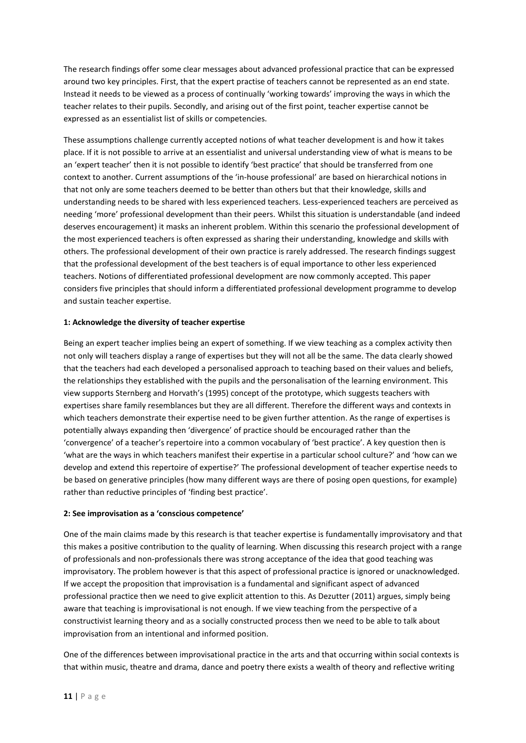The research findings offer some clear messages about advanced professional practice that can be expressed around two key principles. First, that the expert practise of teachers cannot be represented as an end state. Instead it needs to be viewed as a process of continually 'working towards' improving the ways in which the teacher relates to their pupils. Secondly, and arising out of the first point, teacher expertise cannot be expressed as an essentialist list of skills or competencies.

These assumptions challenge currently accepted notions of what teacher development is and how it takes place. If it is not possible to arrive at an essentialist and universal understanding view of what is means to be an 'expert teacher' then it is not possible to identify 'best practice' that should be transferred from one context to another. Current assumptions of the 'in-house professional' are based on hierarchical notions in that not only are some teachers deemed to be better than others but that their knowledge, skills and understanding needs to be shared with less experienced teachers. Less-experienced teachers are perceived as needing 'more' professional development than their peers. Whilst this situation is understandable (and indeed deserves encouragement) it masks an inherent problem. Within this scenario the professional development of the most experienced teachers is often expressed as sharing their understanding, knowledge and skills with others. The professional development of their own practice is rarely addressed. The research findings suggest that the professional development of the best teachers is of equal importance to other less experienced teachers. Notions of differentiated professional development are now commonly accepted. This paper considers five principles that should inform a differentiated professional development programme to develop and sustain teacher expertise.

#### **1: Acknowledge the diversity of teacher expertise**

Being an expert teacher implies being an expert of something. If we view teaching as a complex activity then not only will teachers display a range of expertises but they will not all be the same. The data clearly showed that the teachers had each developed a personalised approach to teaching based on their values and beliefs, the relationships they established with the pupils and the personalisation of the learning environment. This view supports Sternberg and Horvath's (1995) concept of the prototype, which suggests teachers with expertises share family resemblances but they are all different. Therefore the different ways and contexts in which teachers demonstrate their expertise need to be given further attention. As the range of expertises is potentially always expanding then 'divergence' of practice should be encouraged rather than the 'convergence' of a teacher's repertoire into a common vocabulary of 'best practice'. A key question then is 'what are the ways in which teachers manifest their expertise in a particular school culture?' and 'how can we develop and extend this repertoire of expertise?' The professional development of teacher expertise needs to be based on generative principles (how many different ways are there of posing open questions, for example) rather than reductive principles of 'finding best practice'.

#### **2: See improvisation as a 'conscious competence'**

One of the main claims made by this research is that teacher expertise is fundamentally improvisatory and that this makes a positive contribution to the quality of learning. When discussing this research project with a range of professionals and non-professionals there was strong acceptance of the idea that good teaching was improvisatory. The problem however is that this aspect of professional practice is ignored or unacknowledged. If we accept the proposition that improvisation is a fundamental and significant aspect of advanced professional practice then we need to give explicit attention to this. As Dezutter (2011) argues, simply being aware that teaching is improvisational is not enough. If we view teaching from the perspective of a constructivist learning theory and as a socially constructed process then we need to be able to talk about improvisation from an intentional and informed position.

One of the differences between improvisational practice in the arts and that occurring within social contexts is that within music, theatre and drama, dance and poetry there exists a wealth of theory and reflective writing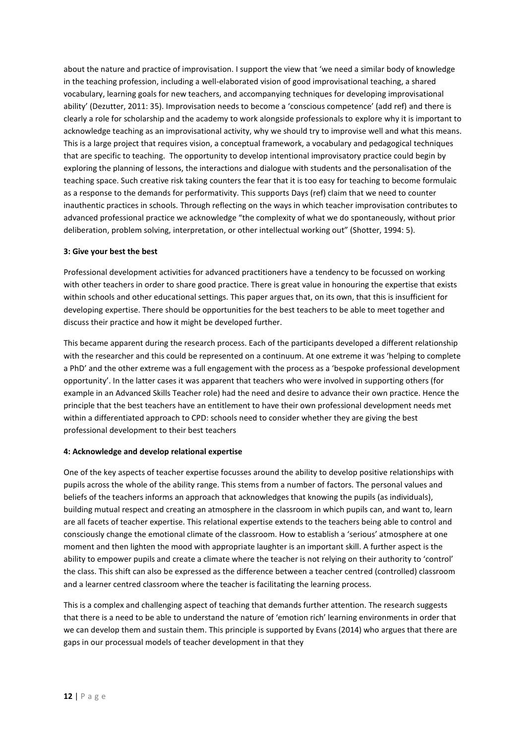about the nature and practice of improvisation. I support the view that 'we need a similar body of knowledge in the teaching profession, including a well-elaborated vision of good improvisational teaching, a shared vocabulary, learning goals for new teachers, and accompanying techniques for developing improvisational ability' (Dezutter, 2011: 35). Improvisation needs to become a 'conscious competence' (add ref) and there is clearly a role for scholarship and the academy to work alongside professionals to explore why it is important to acknowledge teaching as an improvisational activity, why we should try to improvise well and what this means. This is a large project that requires vision, a conceptual framework, a vocabulary and pedagogical techniques that are specific to teaching. The opportunity to develop intentional improvisatory practice could begin by exploring the planning of lessons, the interactions and dialogue with students and the personalisation of the teaching space. Such creative risk taking counters the fear that it is too easy for teaching to become formulaic as a response to the demands for performativity. This supports Days (ref) claim that we need to counter inauthentic practices in schools. Through reflecting on the ways in which teacher improvisation contributes to advanced professional practice we acknowledge "the complexity of what we do spontaneously, without prior deliberation, problem solving, interpretation, or other intellectual working out" (Shotter, 1994: 5).

#### **3: Give your best the best**

Professional development activities for advanced practitioners have a tendency to be focussed on working with other teachers in order to share good practice. There is great value in honouring the expertise that exists within schools and other educational settings. This paper argues that, on its own, that this is insufficient for developing expertise. There should be opportunities for the best teachers to be able to meet together and discuss their practice and how it might be developed further.

This became apparent during the research process. Each of the participants developed a different relationship with the researcher and this could be represented on a continuum. At one extreme it was 'helping to complete a PhD' and the other extreme was a full engagement with the process as a 'bespoke professional development opportunity'. In the latter cases it was apparent that teachers who were involved in supporting others (for example in an Advanced Skills Teacher role) had the need and desire to advance their own practice. Hence the principle that the best teachers have an entitlement to have their own professional development needs met within a differentiated approach to CPD: schools need to consider whether they are giving the best professional development to their best teachers

#### **4: Acknowledge and develop relational expertise**

One of the key aspects of teacher expertise focusses around the ability to develop positive relationships with pupils across the whole of the ability range. This stems from a number of factors. The personal values and beliefs of the teachers informs an approach that acknowledges that knowing the pupils (as individuals), building mutual respect and creating an atmosphere in the classroom in which pupils can, and want to, learn are all facets of teacher expertise. This relational expertise extends to the teachers being able to control and consciously change the emotional climate of the classroom. How to establish a 'serious' atmosphere at one moment and then lighten the mood with appropriate laughter is an important skill. A further aspect is the ability to empower pupils and create a climate where the teacher is not relying on their authority to 'control' the class. This shift can also be expressed as the difference between a teacher centred (controlled) classroom and a learner centred classroom where the teacher is facilitating the learning process.

This is a complex and challenging aspect of teaching that demands further attention. The research suggests that there is a need to be able to understand the nature of 'emotion rich' learning environments in order that we can develop them and sustain them. This principle is supported by Evans (2014) who argues that there are gaps in our processual models of teacher development in that they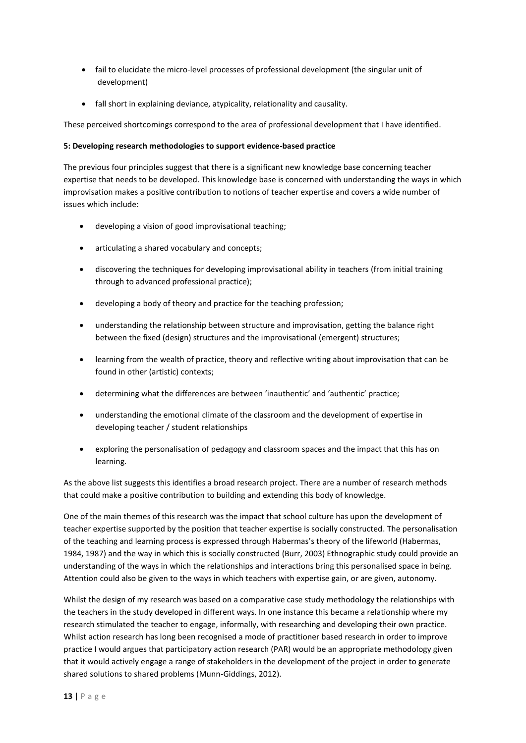- fail to elucidate the micro-level processes of professional development (the singular unit of development)
- fall short in explaining deviance, atypicality, relationality and causality.

These perceived shortcomings correspond to the area of professional development that I have identified.

#### **5: Developing research methodologies to support evidence-based practice**

The previous four principles suggest that there is a significant new knowledge base concerning teacher expertise that needs to be developed. This knowledge base is concerned with understanding the ways in which improvisation makes a positive contribution to notions of teacher expertise and covers a wide number of issues which include:

- developing a vision of good improvisational teaching;
- articulating a shared vocabulary and concepts;
- discovering the techniques for developing improvisational ability in teachers (from initial training through to advanced professional practice);
- developing a body of theory and practice for the teaching profession;
- understanding the relationship between structure and improvisation, getting the balance right between the fixed (design) structures and the improvisational (emergent) structures;
- learning from the wealth of practice, theory and reflective writing about improvisation that can be found in other (artistic) contexts;
- determining what the differences are between 'inauthentic' and 'authentic' practice;
- understanding the emotional climate of the classroom and the development of expertise in developing teacher / student relationships
- exploring the personalisation of pedagogy and classroom spaces and the impact that this has on learning.

As the above list suggests this identifies a broad research project. There are a number of research methods that could make a positive contribution to building and extending this body of knowledge.

One of the main themes of this research was the impact that school culture has upon the development of teacher expertise supported by the position that teacher expertise is socially constructed. The personalisation of the teaching and learning process is expressed through Habermas's theory of the lifeworld (Habermas, 1984, 1987) and the way in which this is socially constructed (Burr, 2003) Ethnographic study could provide an understanding of the ways in which the relationships and interactions bring this personalised space in being. Attention could also be given to the ways in which teachers with expertise gain, or are given, autonomy.

Whilst the design of my research was based on a comparative case study methodology the relationships with the teachers in the study developed in different ways. In one instance this became a relationship where my research stimulated the teacher to engage, informally, with researching and developing their own practice. Whilst action research has long been recognised a mode of practitioner based research in order to improve practice I would argues that participatory action research (PAR) would be an appropriate methodology given that it would actively engage a range of stakeholders in the development of the project in order to generate shared solutions to shared problems (Munn-Giddings, 2012).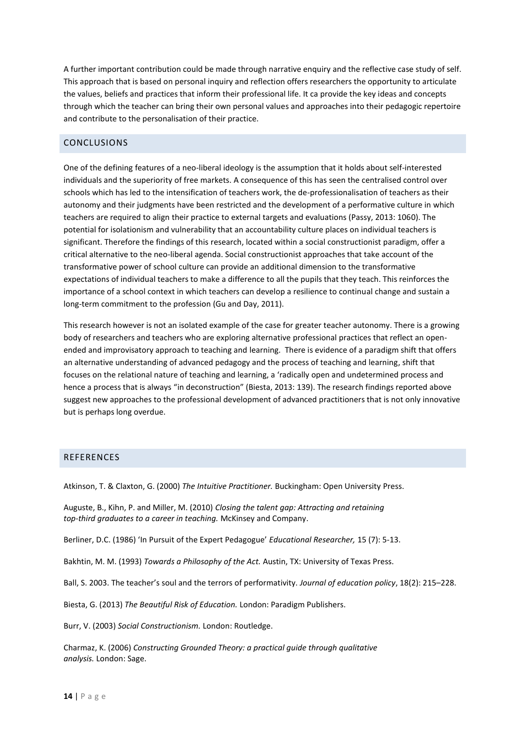A further important contribution could be made through narrative enquiry and the reflective case study of self. This approach that is based on personal inquiry and reflection offers researchers the opportunity to articulate the values, beliefs and practices that inform their professional life. It ca provide the key ideas and concepts through which the teacher can bring their own personal values and approaches into their pedagogic repertoire and contribute to the personalisation of their practice.

#### CONCLUSIONS

One of the defining features of a neo-liberal ideology is the assumption that it holds about self-interested individuals and the superiority of free markets. A consequence of this has seen the centralised control over schools which has led to the intensification of teachers work, the de-professionalisation of teachers as their autonomy and their judgments have been restricted and the development of a performative culture in which teachers are required to align their practice to external targets and evaluations (Passy, 2013: 1060). The potential for isolationism and vulnerability that an accountability culture places on individual teachers is significant. Therefore the findings of this research, located within a social constructionist paradigm, offer a critical alternative to the neo-liberal agenda. Social constructionist approaches that take account of the transformative power of school culture can provide an additional dimension to the transformative expectations of individual teachers to make a difference to all the pupils that they teach. This reinforces the importance of a school context in which teachers can develop a resilience to continual change and sustain a long-term commitment to the profession (Gu and Day, 2011).

This research however is not an isolated example of the case for greater teacher autonomy. There is a growing body of researchers and teachers who are exploring alternative professional practices that reflect an openended and improvisatory approach to teaching and learning. There is evidence of a paradigm shift that offers an alternative understanding of advanced pedagogy and the process of teaching and learning, shift that focuses on the relational nature of teaching and learning, a 'radically open and undetermined process and hence a process that is always "in deconstruction" (Biesta, 2013: 139). The research findings reported above suggest new approaches to the professional development of advanced practitioners that is not only innovative but is perhaps long overdue.

#### REFERENCES

Atkinson, T. & Claxton, G. (2000) *The Intuitive Practitioner.* Buckingham: Open University Press.

Auguste, B., Kihn, P. and Miller, M. (2010) *Closing the talent gap: Attracting and retaining top-third graduates to a career in teaching.* McKinsey and Company.

Berliner, D.C. (1986) 'In Pursuit of the Expert Pedagogue' *Educational Researcher,* 15 (7): 5-13.

Bakhtin, M. M. (1993) *Towards a Philosophy of the Act.* Austin, TX: University of Texas Press.

Ball, S. 2003. The teacher's soul and the terrors of performativity. *Journal of education policy*, 18(2): 215–228.

Biesta, G. (2013) *The Beautiful Risk of Education.* London: Paradigm Publishers.

Burr, V. (2003) *Social Constructionism.* London: Routledge.

Charmaz, K. (2006) *Constructing Grounded Theory: a practical guide through qualitative analysis.* London: Sage.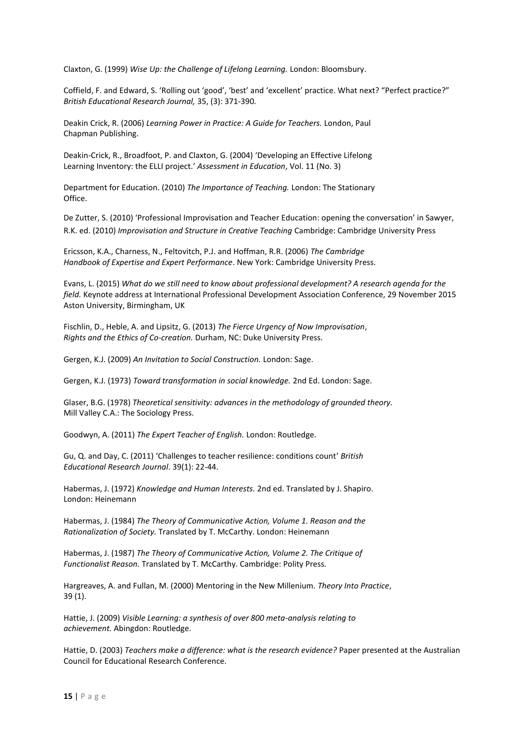Claxton, G. (1999) *Wise Up: the Challenge of Lifelong Learning.* London: Bloomsbury.

Coffield, F. and Edward, S. 'Rolling out 'good', 'best' and 'excellent' practice. What next? "Perfect practice?" *British Educational Research Journal,* 35, (3): 371-390*.*

Deakin Crick, R. (2006) *Learning Power in Practice: A Guide for Teachers.* London, Paul Chapman Publishing.

Deakin-Crick, R., Broadfoot, P. and Claxton, G. (2004) 'Developing an Effective Lifelong Learning Inventory: the ELLI project.' *Assessment in Education*, Vol. 11 (No. 3)

Department for Education. (2010) *The Importance of Teaching.* London: The Stationary Office.

De Zutter, S. (2010) 'Professional Improvisation and Teacher Education: opening the conversation' in Sawyer, R.K. ed. (2010) *Improvisation and Structure in Creative Teaching* Cambridge: Cambridge University Press

Ericsson, K.A., Charness, N., Feltovitch, P.J. and Hoffman, R.R. (2006) *The Cambridge Handbook of Expertise and Expert Performance*. New York: Cambridge University Press.

Evans, L. (2015) *What do we still need to know about professional development? A research agenda for the field.* Keynote address at International Professional Development Association Conference, 29 November 2015 Aston University, Birmingham, UK

Fischlin, D., Heble, A. and Lipsitz, G. (2013) *The Fierce Urgency of Now Improvisation*, *Rights and the Ethics of Co-creation.* Durham, NC: Duke University Press.

Gergen, K.J. (2009) *An Invitation to Social Construction.* London: Sage.

Gergen, K.J. (1973) *Toward transformation in social knowledge.* 2nd Ed. London: Sage.

Glaser, B.G. (1978) *Theoretical sensitivity: advances in the methodology of grounded theory.* Mill Valley C.A.: The Sociology Press.

Goodwyn, A. (2011) *The Expert Teacher of English.* London: Routledge.

Gu, Q. and Day, C. (2011) 'Challenges to teacher resilience: conditions count' *British Educational Research Journal*. 39(1): 22-44.

Habermas, J. (1972) *Knowledge and Human Interests.* 2nd ed. Translated by J. Shapiro. London: Heinemann

Habermas, J. (1984) *The Theory of Communicative Action, Volume 1. Reason and the Rationalization of Society.* Translated by T. McCarthy. London: Heinemann

Habermas, J. (1987) *The Theory of Communicative Action, Volume 2. The Critique of Functionalist Reason.* Translated by T. McCarthy. Cambridge: Polity Press.

Hargreaves, A. and Fullan, M. (2000) Mentoring in the New Millenium. *Theory Into Practice*, 39 (1).

Hattie, J. (2009) *Visible Learning: a synthesis of over 800 meta-analysis relating to achievement.* Abingdon: Routledge.

Hattie, D. (2003) *Teachers make a difference: what is the research evidence?* Paper presented at the Australian Council for Educational Research Conference.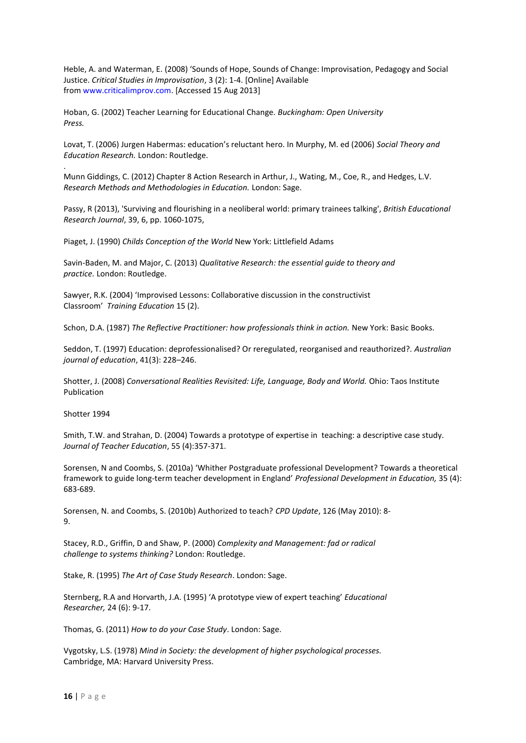Heble, A. and Waterman, E. (2008) 'Sounds of Hope, Sounds of Change: Improvisation, Pedagogy and Social Justice. *Critical Studies in Improvisation*, 3 (2): 1-4. [Online] Available from www.criticalimprov.com. [Accessed 15 Aug 2013]

Hoban, G. (2002) Teacher Learning for Educational Change*. Buckingham: Open University Press.*

Lovat, T. (2006) Jurgen Habermas: education's reluctant hero. In Murphy, M. ed (2006) *Social Theory and Education Research.* London: Routledge.

. Munn Giddings, C. (2012) Chapter 8 Action Research in Arthur, J., Wating, M., Coe, R., and Hedges, L.V. *Research Methods and Methodologies in Education.* London: Sage.

Passy, R (2013), 'Surviving and flourishing in a neoliberal world: primary trainees talking', *British Educational Research Journal*, 39, 6, pp. 1060-1075,

Piaget, J. (1990) *Childs Conception of the World* New York: Littlefield Adams

Savin-Baden, M. and Major, C. (2013) *Qualitative Research: the essential guide to theory and practice.* London: Routledge.

Sawyer, R.K. (2004) 'Improvised Lessons: Collaborative discussion in the constructivist Classroom' *Training Education* 15 (2).

Schon, D.A. (1987) *The Reflective Practitioner: how professionals think in action.* New York: Basic Books.

Seddon, T. (1997) Education: deprofessionalised? Or reregulated, reorganised and reauthorized?. *Australian journal of education*, 41(3): 228–246.

Shotter, J. (2008) *Conversational Realities Revisited: Life, Language, Body and World.* Ohio: Taos Institute Publication

Shotter 1994

Smith, T.W. and Strahan, D. (2004) Towards a prototype of expertise in teaching: a descriptive case study. *Journal of Teacher Education*, 55 (4):357-371.

Sorensen, N and Coombs, S. (2010a) 'Whither Postgraduate professional Development? Towards a theoretical framework to guide long-term teacher development in England' *Professional Development in Education,* 35 (4): 683-689.

Sorensen, N. and Coombs, S. (2010b) Authorized to teach? *CPD Update*, 126 (May 2010): 8- 9.

Stacey, R.D., Griffin, D and Shaw, P. (2000) *Complexity and Management: fad or radical challenge to systems thinking?* London: Routledge.

Stake, R. (1995) *The Art of Case Study Research*. London: Sage.

Sternberg, R.A and Horvarth, J.A. (1995) 'A prototype view of expert teaching' *Educational Researcher,* 24 (6): 9-17.

Thomas, G. (2011) *How to do your Case Study*. London: Sage.

Vygotsky, L.S. (1978) *Mind in Society: the development of higher psychological processes.* Cambridge, MA: Harvard University Press.